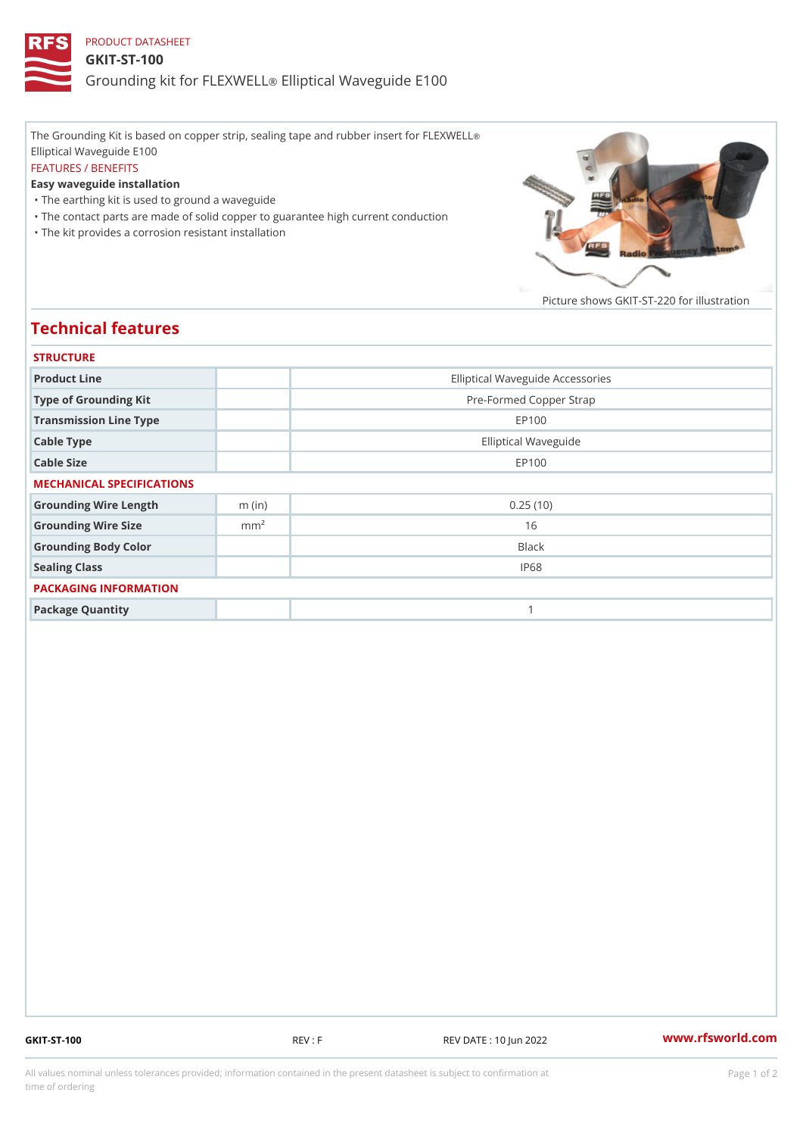## PRODUCT DATASHEET GKIT-ST-100 Grounding kit for **ELEIXIVE tal** Waveguide E100

The Grounding Kit is based on copper strip, sealing tape and rubber insert for FLEXWELL ® Elliptical Waveguide E100 FEATURES / BENEFITS Easy waveguide installation "The earthing kit is used to ground a waveguide "The contact parts are made of solid copper to guarantee high current conduction

"The kit provides a corrosion resistant installation

Picture shows  $GKIT-ST-220$  for ill

## Technical features

| <b>STRUCTURE</b>          |                  |                                  |
|---------------------------|------------------|----------------------------------|
| Product Line              |                  | Elliptical Waveguide Accessories |
| Type of Grounding Kit     |                  | Pre-Formed Copper Strap          |
| Transmission Line Type    |                  | EP100                            |
| Cable Type                |                  | Elliptical Waveguide             |
| Cable Size                |                  | EP100                            |
| MECHANICAL SPECIFICATIONS |                  |                                  |
| Grounding Wire Length     | $m$ (in)         | 0.25(10)                         |
| Grounding Wire Size       | m m <sup>2</sup> | 16                               |
| Grounding Body Color      |                  | Black                            |
| Sealing Class             |                  | IP68                             |
| PACKAGING INFORMATION     |                  |                                  |
| Package Quantity          |                  | 1                                |

GKIT-ST-100 REV : F REV DATE : 10 Jun 2022 [www.](https://www.rfsworld.com)rfsworld.com